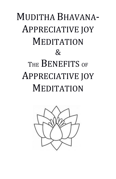# MUDITHA BHAVANA-APPRECIATIVE JOY **MEDITATION**  $\mathcal{R}$ THE **BENEFITS** OF APPRECIATIVE JOY **MEDITATION**

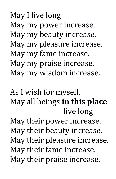May I live long May my power increase. May my beauty increase. May my pleasure increase. May my fame increase. May my praise increase. May my wisdom increase.

As I wish for myself, May all beings **in this place** live long May their power increase. May their beauty increase. May their pleasure increase. May their fame increase. May their praise increase.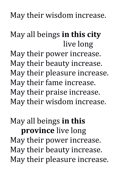May their wisdom increase.

May all beings **in this city** live long May their power increase. May their beauty increase. May their pleasure increase. May their fame increase. May their praise increase. May their wisdom increase.

May all beings **in this province** live long May their power increase. May their beauty increase. May their pleasure increase.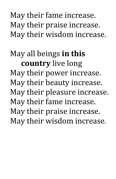## May their fame increase. May their praise increase. May their wisdom increase.

## May all beings **in this country** live long May their power increase. May their beauty increase. May their pleasure increase. May their fame increase. May their praise increase. May their wisdom increase.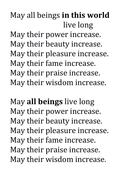## May all beings **in this world** live long

May their power increase. May their beauty increase. May their pleasure increase. May their fame increase. May their praise increase. May their wisdom increase.

May **all beings** live long May their power increase. May their beauty increase. May their pleasure increase. May their fame increase. May their praise increase. May their wisdom increase.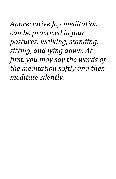*Appreciative Joy meditation can be practiced in four postures: walking, standing, sitting, and lying down. At first, you may say the words of the meditation softly and then meditate silently.*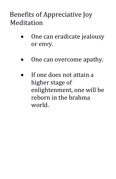### Benefits of Appreciative Joy Meditation

- One can eradicate jealousy or envy.
- One can overcome apathy.
- If one does not attain a higher stage of enlightenment, one will be reborn in the brahma world.